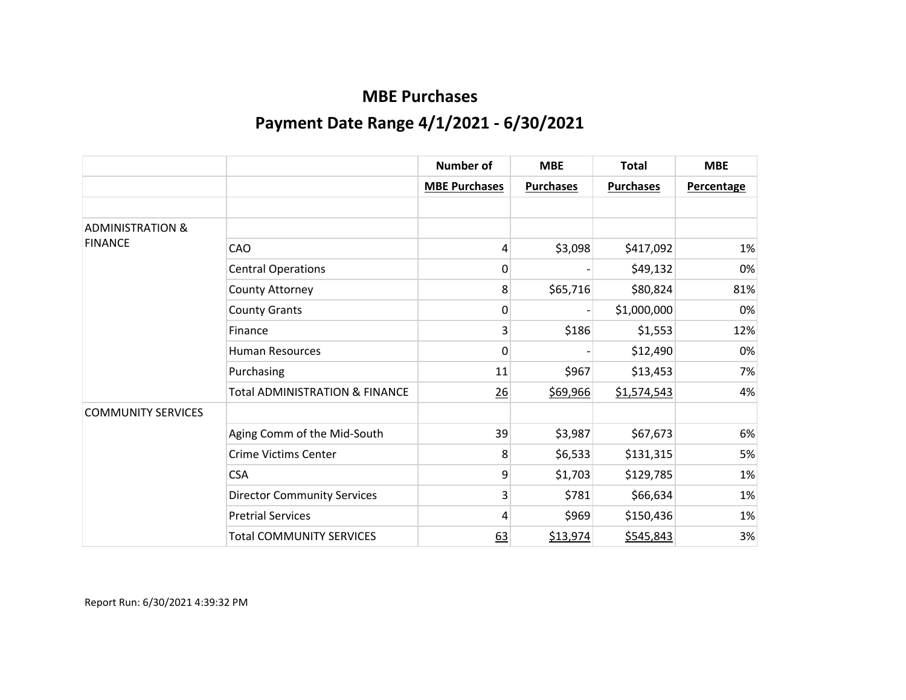|                             |                                           | <b>Number of</b>     | <b>MBE</b>       | <b>Total</b>     | <b>MBE</b> |
|-----------------------------|-------------------------------------------|----------------------|------------------|------------------|------------|
|                             |                                           | <b>MBE Purchases</b> | <b>Purchases</b> | <b>Purchases</b> | Percentage |
|                             |                                           |                      |                  |                  |            |
| <b>ADMINISTRATION &amp;</b> |                                           |                      |                  |                  |            |
| <b>FINANCE</b>              | CAO                                       | 4                    | \$3,098          | \$417,092        | 1%         |
|                             | <b>Central Operations</b>                 | 0                    |                  | \$49,132         | 0%         |
|                             | County Attorney                           | 8                    | \$65,716         | \$80,824         | 81%        |
|                             | <b>County Grants</b>                      | 0                    |                  | \$1,000,000      | 0%         |
|                             | Finance                                   | 3                    | \$186            | \$1,553          | 12%        |
|                             | <b>Human Resources</b>                    | 0                    |                  | \$12,490         | 0%         |
|                             | Purchasing                                | 11                   | \$967            | \$13,453         | 7%         |
|                             | <b>Total ADMINISTRATION &amp; FINANCE</b> | 26                   | \$69,966         | \$1,574,543      | 4%         |
| <b>COMMUNITY SERVICES</b>   |                                           |                      |                  |                  |            |
|                             | Aging Comm of the Mid-South               | 39                   | \$3,987          | \$67,673         | 6%         |
|                             | <b>Crime Victims Center</b>               | 8                    | \$6,533          | \$131,315        | 5%         |
|                             | <b>CSA</b>                                | 9                    | \$1,703          | \$129,785        | 1%         |
|                             | <b>Director Community Services</b>        | 3                    | \$781            | \$66,634         | 1%         |
|                             | <b>Pretrial Services</b>                  | 4                    | \$969            | \$150,436        | 1%         |
|                             | <b>Total COMMUNITY SERVICES</b>           | 63                   | \$13,974         | \$545,843        | 3%         |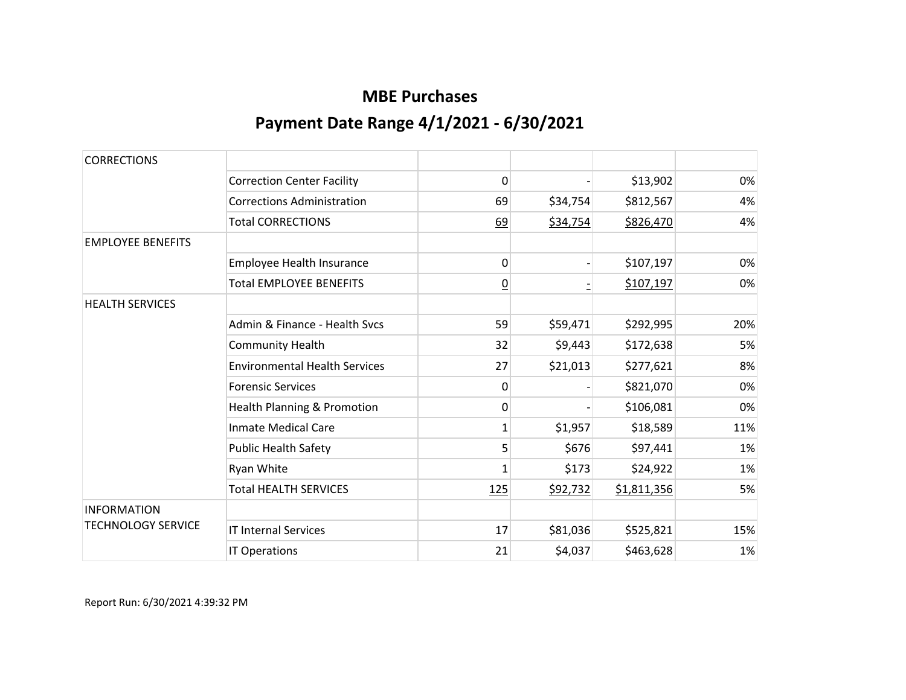| <b>CORRECTIONS</b>        |                                      |                |          |             |     |
|---------------------------|--------------------------------------|----------------|----------|-------------|-----|
|                           | <b>Correction Center Facility</b>    | 0              |          | \$13,902    | 0%  |
|                           | <b>Corrections Administration</b>    | 69             | \$34,754 | \$812,567   | 4%  |
|                           | <b>Total CORRECTIONS</b>             | 69             | \$34,754 | \$826,470   | 4%  |
| <b>EMPLOYEE BENEFITS</b>  |                                      |                |          |             |     |
|                           | Employee Health Insurance            | 0              |          | \$107,197   | 0%  |
|                           | <b>Total EMPLOYEE BENEFITS</b>       | $\overline{0}$ |          | \$107,197   | 0%  |
| <b>HEALTH SERVICES</b>    |                                      |                |          |             |     |
|                           | Admin & Finance - Health Sycs        | 59             | \$59,471 | \$292,995   | 20% |
|                           | <b>Community Health</b>              | 32             | \$9,443  | \$172,638   | 5%  |
|                           | <b>Environmental Health Services</b> | 27             | \$21,013 | \$277,621   | 8%  |
|                           | <b>Forensic Services</b>             | $\mathbf{0}$   |          | \$821,070   | 0%  |
|                           | Health Planning & Promotion          | 0              |          | \$106,081   | 0%  |
|                           | <b>Inmate Medical Care</b>           | 1              | \$1,957  | \$18,589    | 11% |
|                           | <b>Public Health Safety</b>          | 5              | \$676    | \$97,441    | 1%  |
|                           | Ryan White                           | $\mathbf{1}$   | \$173    | \$24,922    | 1%  |
|                           | <b>Total HEALTH SERVICES</b>         | 125            | \$92,732 | \$1,811,356 | 5%  |
| <b>INFORMATION</b>        |                                      |                |          |             |     |
| <b>TECHNOLOGY SERVICE</b> | <b>IT Internal Services</b>          | 17             | \$81,036 | \$525,821   | 15% |
|                           | IT Operations                        | 21             | \$4,037  | \$463,628   | 1%  |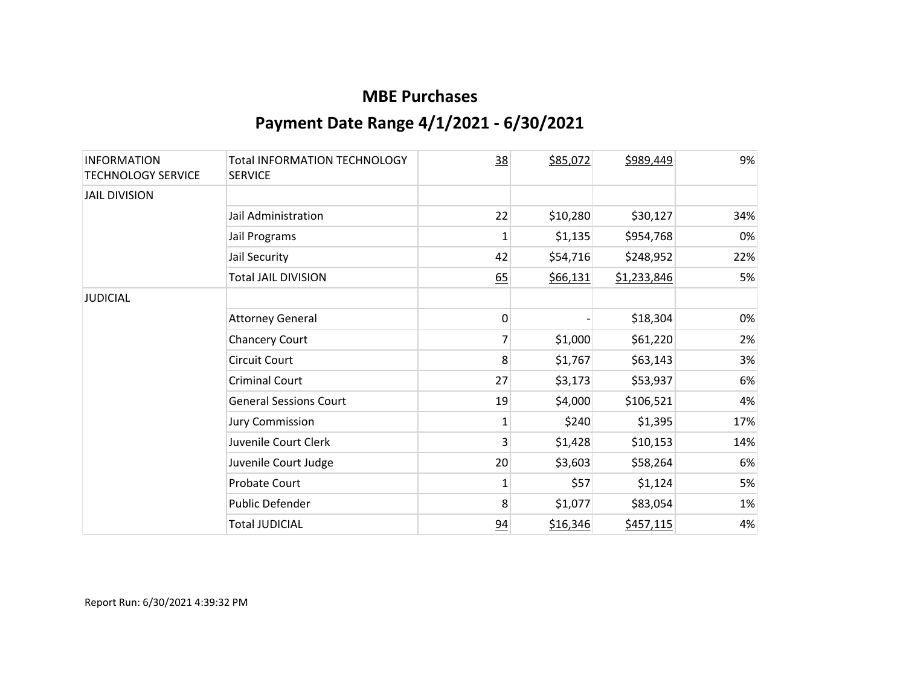| <b>INFORMATION</b><br><b>TECHNOLOGY SERVICE</b> | Total INFORMATION TECHNOLOGY<br><b>SERVICE</b> | 38 | \$85,072 | \$989,449   | 9%  |
|-------------------------------------------------|------------------------------------------------|----|----------|-------------|-----|
| <b>JAIL DIVISION</b>                            |                                                |    |          |             |     |
|                                                 | Jail Administration                            | 22 | \$10,280 | \$30,127    | 34% |
|                                                 | Jail Programs                                  | 1  | \$1,135  | \$954,768   | 0%  |
|                                                 | Jail Security                                  | 42 | \$54,716 | \$248,952   | 22% |
|                                                 | <b>Total JAIL DIVISION</b>                     | 65 | \$66,131 | \$1,233,846 | 5%  |
| <b>JUDICIAL</b>                                 |                                                |    |          |             |     |
|                                                 | <b>Attorney General</b>                        | 0  |          | \$18,304    | 0%  |
|                                                 | <b>Chancery Court</b>                          | 7  | \$1,000  | \$61,220    | 2%  |
|                                                 | <b>Circuit Court</b>                           | 8  | \$1,767  | \$63,143    | 3%  |
|                                                 | <b>Criminal Court</b>                          | 27 | \$3,173  | \$53,937    | 6%  |
|                                                 | <b>General Sessions Court</b>                  | 19 | \$4,000  | \$106,521   | 4%  |
|                                                 | <b>Jury Commission</b>                         | 1  | \$240    | \$1,395     | 17% |
|                                                 | Juvenile Court Clerk                           | 3  | \$1,428  | \$10,153    | 14% |
|                                                 | Juvenile Court Judge                           | 20 | \$3,603  | \$58,264    | 6%  |
|                                                 | Probate Court                                  | 1  | \$57     | \$1,124     | 5%  |
|                                                 | Public Defender                                | 8  | \$1,077  | \$83,054    | 1%  |
|                                                 | <b>Total JUDICIAL</b>                          | 94 | \$16,346 | \$457,115   | 4%  |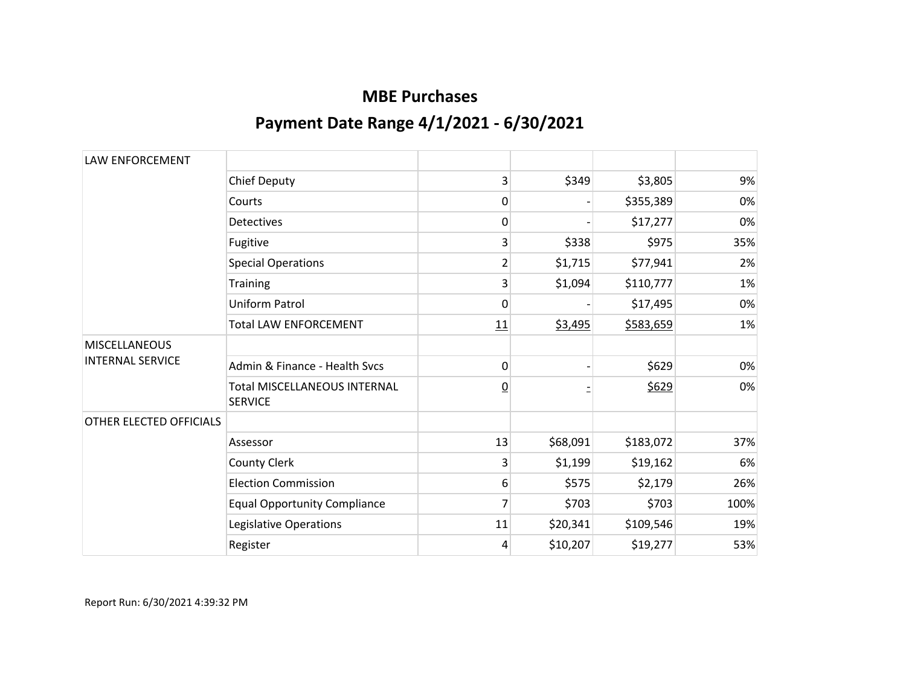| <b>LAW ENFORCEMENT</b>                          |                                                       |                |          |           |      |
|-------------------------------------------------|-------------------------------------------------------|----------------|----------|-----------|------|
|                                                 | <b>Chief Deputy</b>                                   | 3              | \$349    | \$3,805   | 9%   |
|                                                 | Courts                                                | 0              |          | \$355,389 | 0%   |
|                                                 | <b>Detectives</b>                                     | 0              |          | \$17,277  | 0%   |
|                                                 | Fugitive                                              | 3              | \$338    | \$975     | 35%  |
|                                                 | <b>Special Operations</b>                             | $\overline{2}$ | \$1,715  | \$77,941  | 2%   |
|                                                 | <b>Training</b>                                       | 3              | \$1,094  | \$110,777 | 1%   |
|                                                 | Uniform Patrol                                        | 0              |          | \$17,495  | 0%   |
|                                                 | <b>Total LAW ENFORCEMENT</b>                          | 11             | \$3,495  | \$583,659 | 1%   |
| <b>MISCELLANEOUS</b><br><b>INTERNAL SERVICE</b> |                                                       |                |          |           |      |
|                                                 | Admin & Finance - Health Sycs                         | 0              |          | \$629     | 0%   |
|                                                 | <b>Total MISCELLANEOUS INTERNAL</b><br><b>SERVICE</b> | $\overline{0}$ |          | \$629     | 0%   |
| OTHER ELECTED OFFICIALS                         |                                                       |                |          |           |      |
|                                                 | Assessor                                              | 13             | \$68,091 | \$183,072 | 37%  |
|                                                 | <b>County Clerk</b>                                   | 3              | \$1,199  | \$19,162  | 6%   |
|                                                 | <b>Election Commission</b>                            | 6              | \$575    | \$2,179   | 26%  |
|                                                 | <b>Equal Opportunity Compliance</b>                   | 7              | \$703    | \$703     | 100% |
|                                                 | Legislative Operations                                | 11             | \$20,341 | \$109,546 | 19%  |
|                                                 | Register                                              | 4              | \$10,207 | \$19,277  | 53%  |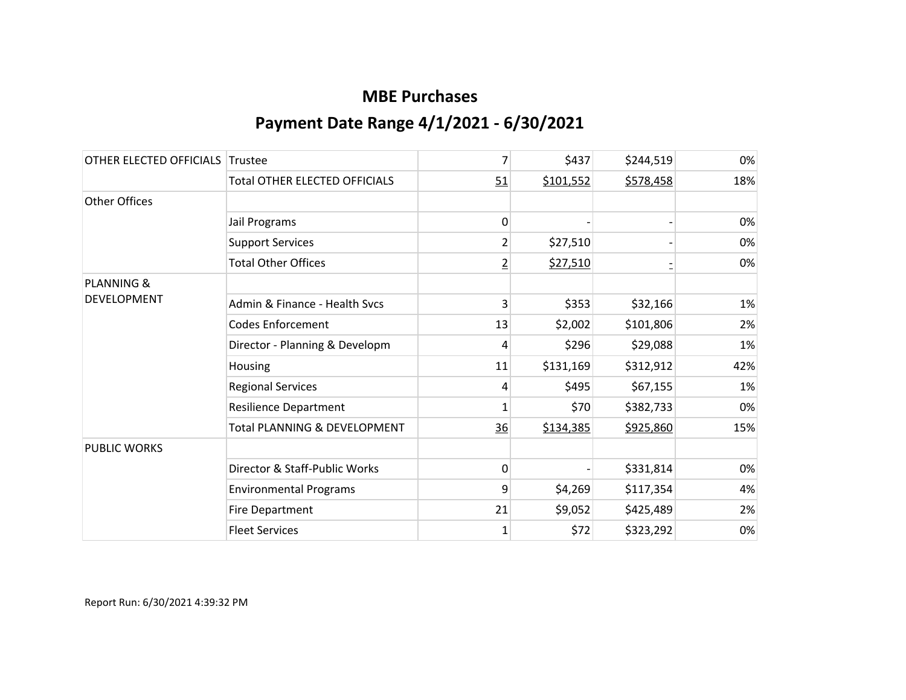| OTHER ELECTED OFFICIALS | Trustee                              | 7              | \$437     | \$244,519 | 0%  |
|-------------------------|--------------------------------------|----------------|-----------|-----------|-----|
|                         | <b>Total OTHER ELECTED OFFICIALS</b> | 51             | \$101,552 | \$578,458 | 18% |
| <b>Other Offices</b>    |                                      |                |           |           |     |
|                         | Jail Programs                        | 0              |           |           | 0%  |
|                         | <b>Support Services</b>              | $\overline{2}$ | \$27,510  |           | 0%  |
|                         | <b>Total Other Offices</b>           | $\overline{2}$ | \$27,510  |           | 0%  |
| <b>PLANNING &amp;</b>   |                                      |                |           |           |     |
| <b>DEVELOPMENT</b>      | Admin & Finance - Health Svcs        | 3              | \$353     | \$32,166  | 1%  |
|                         | <b>Codes Enforcement</b>             | 13             | \$2,002   | \$101,806 | 2%  |
|                         | Director - Planning & Developm       | 4              | \$296     | \$29,088  | 1%  |
|                         | Housing                              | 11             | \$131,169 | \$312,912 | 42% |
|                         | <b>Regional Services</b>             | 4              | \$495     | \$67,155  | 1%  |
|                         | <b>Resilience Department</b>         | 1              | \$70      | \$382,733 | 0%  |
|                         | Total PLANNING & DEVELOPMENT         | 36             | \$134,385 | \$925,860 | 15% |
| <b>PUBLIC WORKS</b>     |                                      |                |           |           |     |
|                         | Director & Staff-Public Works        | 0              |           | \$331,814 | 0%  |
|                         | <b>Environmental Programs</b>        | 9              | \$4,269   | \$117,354 | 4%  |
|                         | <b>Fire Department</b>               | 21             | \$9,052   | \$425,489 | 2%  |
|                         | <b>Fleet Services</b>                | 1              | \$72      | \$323,292 | 0%  |